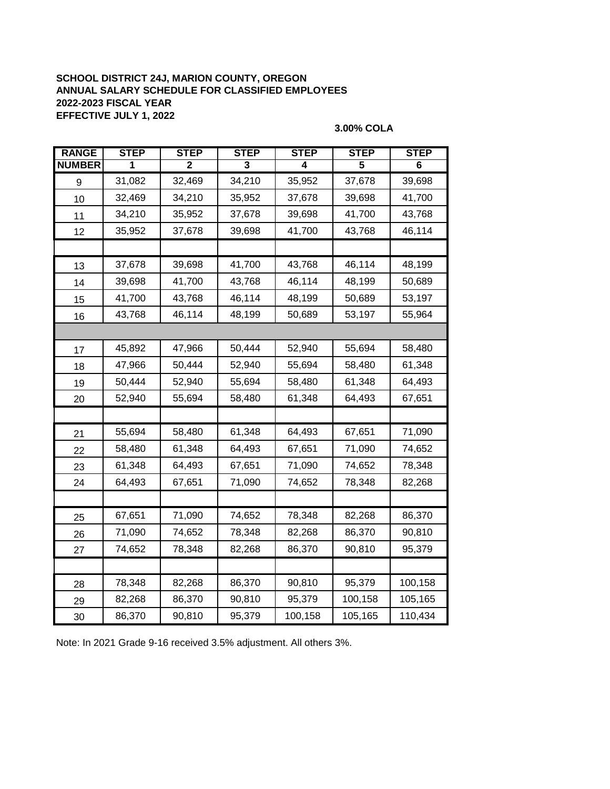## **SCHOOL DISTRICT 24J, MARION COUNTY, OREGON ANNUAL SALARY SCHEDULE FOR CLASSIFIED EMPLOYEES 2022-2023 FISCAL YEAR EFFECTIVE JULY 1, 2022**

### **3.00% COLA**

| <b>RANGE</b>  | <b>STEP</b> | <b>STEP</b> | <b>STEP</b> | <b>STEP</b> | <b>STEP</b> | <b>STEP</b> |
|---------------|-------------|-------------|-------------|-------------|-------------|-------------|
| <b>NUMBER</b> |             | 2           | 3           | 4           | 5           | 6           |
| 9             | 31,082      | 32,469      | 34,210      | 35,952      | 37,678      | 39,698      |
| 10            | 32,469      | 34,210      | 35,952      | 37,678      | 39,698      | 41,700      |
| 11            | 34,210      | 35,952      | 37,678      | 39,698      | 41,700      | 43,768      |
| 12            | 35,952      | 37,678      | 39,698      | 41,700      | 43,768      | 46,114      |
|               |             |             |             |             |             |             |
| 13            | 37,678      | 39,698      | 41,700      | 43,768      | 46,114      | 48,199      |
| 14            | 39,698      | 41,700      | 43,768      | 46,114      | 48,199      | 50,689      |
| 15            | 41,700      | 43,768      | 46,114      | 48,199      | 50,689      | 53,197      |
| 16            | 43,768      | 46,114      | 48,199      | 50,689      | 53,197      | 55,964      |
|               |             |             |             |             |             |             |
| 17            | 45,892      | 47,966      | 50,444      | 52,940      | 55,694      | 58,480      |
| 18            | 47,966      | 50,444      | 52,940      | 55,694      | 58,480      | 61,348      |
| 19            | 50,444      | 52,940      | 55,694      | 58,480      | 61,348      | 64,493      |
| 20            | 52,940      | 55,694      | 58,480      | 61,348      | 64,493      | 67,651      |
|               |             |             |             |             |             |             |
| 21            | 55,694      | 58,480      | 61,348      | 64,493      | 67,651      | 71,090      |
| 22            | 58,480      | 61,348      | 64,493      | 67,651      | 71,090      | 74,652      |
| 23            | 61,348      | 64,493      | 67,651      | 71,090      | 74,652      | 78,348      |
| 24            | 64,493      | 67,651      | 71,090      | 74,652      | 78,348      | 82,268      |
|               |             |             |             |             |             |             |
| 25            | 67,651      | 71,090      | 74,652      | 78,348      | 82,268      | 86,370      |
| 26            | 71,090      | 74,652      | 78,348      | 82,268      | 86,370      | 90,810      |
| 27            | 74,652      | 78,348      | 82,268      | 86,370      | 90,810      | 95,379      |
|               |             |             |             |             |             |             |
| 28            | 78,348      | 82,268      | 86,370      | 90,810      | 95,379      | 100,158     |
| 29            | 82,268      | 86,370      | 90,810      | 95,379      | 100,158     | 105,165     |
| 30            | 86,370      | 90,810      | 95,379      | 100,158     | 105,165     | 110,434     |

Note: In 2021 Grade 9-16 received 3.5% adjustment. All others 3%.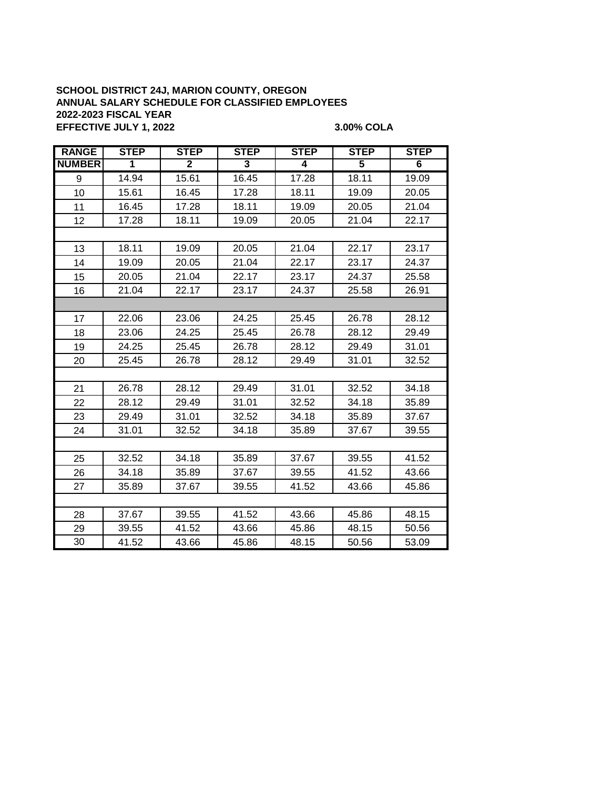### **SCHOOL DISTRICT 24J, MARION COUNTY, OREGON ANNUAL SALARY SCHEDULE FOR CLASSIFIED EMPLOYEES 2022-2023 FISCAL YEAR EFFECTIVE JULY 1, 2022 3.00% COLA**

| <b>RANGE</b>  | <b>STEP</b> | <b>STEP</b>  | <b>STEP</b> | <b>STEP</b> | <b>STEP</b> | <b>STEP</b> |  |  |
|---------------|-------------|--------------|-------------|-------------|-------------|-------------|--|--|
| <b>NUMBER</b> | 1           | $\mathbf{2}$ | 3           | 4           | 5           | 6           |  |  |
| 9             | 14.94       | 15.61        | 16.45       | 17.28       | 18.11       | 19.09       |  |  |
| 10            | 15.61       | 16.45        | 17.28       | 18.11       | 19.09       | 20.05       |  |  |
| 11            | 16.45       | 17.28        | 18.11       | 19.09       | 20.05       | 21.04       |  |  |
| 12            | 17.28       | 18.11        | 19.09       | 20.05       | 21.04       | 22.17       |  |  |
|               |             |              |             |             |             |             |  |  |
| 13            | 18.11       | 19.09        | 20.05       | 21.04       | 22.17       | 23.17       |  |  |
| 14            | 19.09       | 20.05        | 21.04       | 22.17       | 23.17       | 24.37       |  |  |
| 15            | 20.05       | 21.04        | 22.17       | 23.17       | 24.37       | 25.58       |  |  |
| 16            | 21.04       | 22.17        | 23.17       | 24.37       | 25.58       | 26.91       |  |  |
|               |             |              |             |             |             |             |  |  |
| 17            | 22.06       | 23.06        | 24.25       | 25.45       | 26.78       | 28.12       |  |  |
| 18            | 23.06       | 24.25        | 25.45       | 26.78       | 28.12       | 29.49       |  |  |
| 19            | 24.25       | 25.45        | 26.78       | 28.12       | 29.49       | 31.01       |  |  |
| 20            | 25.45       | 26.78        | 28.12       | 29.49       | 31.01       | 32.52       |  |  |
|               |             |              |             |             |             |             |  |  |
| 21            | 26.78       | 28.12        | 29.49       | 31.01       | 32.52       | 34.18       |  |  |
| 22            | 28.12       | 29.49        | 31.01       | 32.52       | 34.18       | 35.89       |  |  |
| 23            | 29.49       | 31.01        | 32.52       | 34.18       | 35.89       | 37.67       |  |  |
| 24            | 31.01       | 32.52        | 34.18       | 35.89       | 37.67       | 39.55       |  |  |
|               |             |              |             |             |             |             |  |  |
| 25            | 32.52       | 34.18        | 35.89       | 37.67       | 39.55       | 41.52       |  |  |
| 26            | 34.18       | 35.89        | 37.67       | 39.55       | 41.52       | 43.66       |  |  |
| 27            | 35.89       | 37.67        | 39.55       | 41.52       | 43.66       | 45.86       |  |  |
|               |             |              |             |             |             |             |  |  |
| 28            | 37.67       | 39.55        | 41.52       | 43.66       | 45.86       | 48.15       |  |  |
| 29            | 39.55       | 41.52        | 43.66       | 45.86       | 48.15       | 50.56       |  |  |
| 30            | 41.52       | 43.66        | 45.86       | 48.15       | 50.56       | 53.09       |  |  |